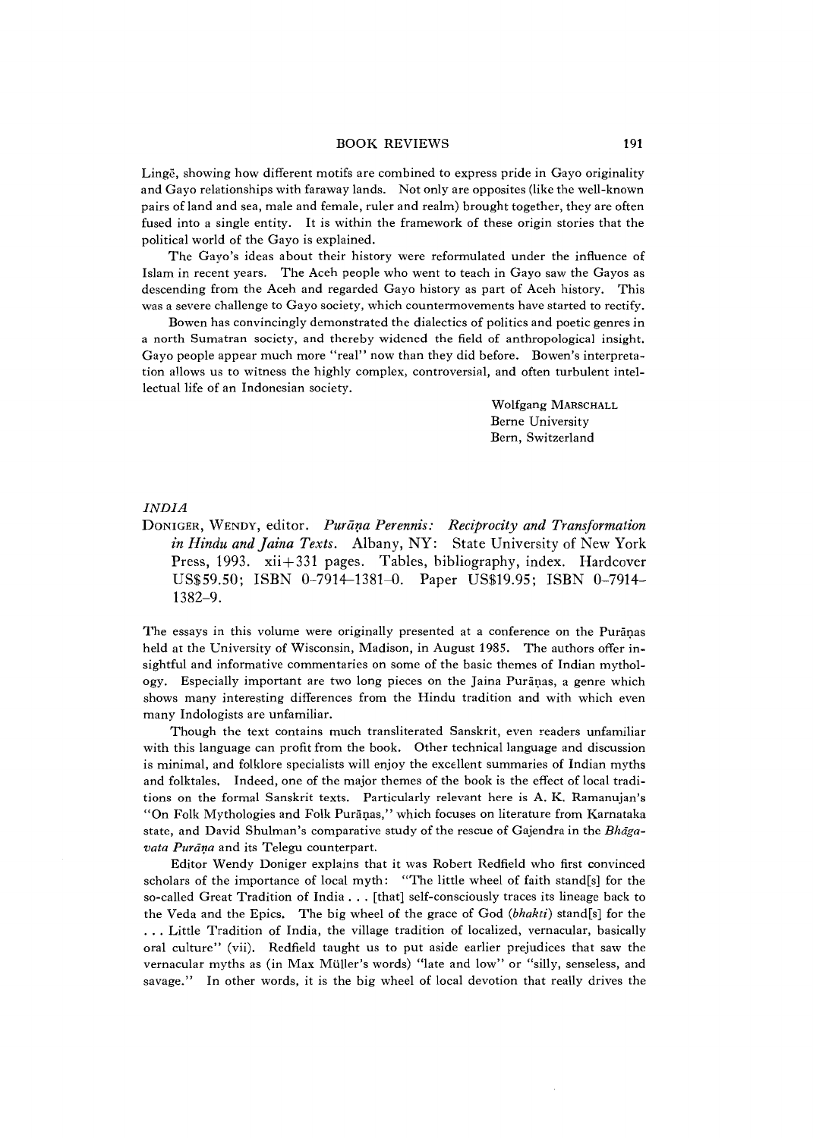## BOOK REVIEWS 191

Linge, showing how different motifs are combined to express pride in Gayo originality and Gayo relationships with faraway lands. Not only are opposites (like the well-known pairs of land and sea, male and female, ruler and realm) brought together, they are often fused into a single entity. It is within the framework of these origin stories that the political world of the Gayo is explained.

The Gayo's ideas about their history were reformulated under the influence of Islam in recent years. The Aceh people who went to teach in Gayo saw the Gayos as descending from the Aceh and regarded Gayo history as part of Aceh history. This was a severe challenge to Gayo society, which countermovements have started to rectify.

Bowen has convincingly demonstrated the dialectics of politics and poetic genres in a north Sumatran society, and thereby widened the field of anthropological insight. Gayo people appear much more "real" now than they did before. Bowen's interpretation allows us to witness the highly complex, controversial, and often turbulent intellectual life of an Indonesian society.

> Wolfgang MARSCHALL Berne University Bern, Switzerland

## *INDIA*

DONIGER, WENDY, editor. Purana Perennis: Reciprocity and Transformation in Hindu and Jaina Texts. Albany, NY: State University of New York Press, 1993. xii+331 pages. Tables, bibliography, index. Hardcover US\$59.50; ISBN 0-7914-1381-0. Paper USS19.95; ISBN 0-7914 1382-9.

The essays in this volume were originally presented at a conference on the Puranas held at the University of Wisconsin, Madison, in August 1985. The authors offer insightiul and informative commentaries on some of the basic themes of Indian mythology. Especially important are two long pieces on the Jaina Puranas, a genre which shows many interesting differences from the Hindu tradition and with which even many Indologists are unfamiliar.

Though the text contains much transliterated Sanskrit, even readers unfamiliar with this language can profit from the book. Other technical language and discussion is minimal, and folklore specialists will enjoy the excellent summaries of Indian myths and folktales. Indeed, one of the major themes of the book is the effect of local traditions on the formal Sanskrit texts. Particularly relevant here is A. K. Ramanujan's "On Folk Mythologies and Folk Purāņas," which focuses on literature from Karnataka state, and David Shulman's comparative study of the rescue of Gajendra in the *Bhdgavata Purana* and its Telegu counterpart.

Editor Wendy Doniger explains that it was Robert Redfield who first convinced scholars of the importance of local myth: "The little wheel of faith stand[s] for the so-called Great Tradition of India . . . [that] self-consciously traces its lineage back to the Veda and the Epics. The big wheel of the grace of God *{bhakti)* stand[s] for the . . . Little Tradition of India, the village tradition of localized, vernacular, basically oral culture" (vii). Redfield taught us to put aside earlier prejudices that saw the vernacular myths as (in Max Müller's words) "late and low" or "silly, senseless, and savage." In other words, it is the big wheel of local devotion that really drives the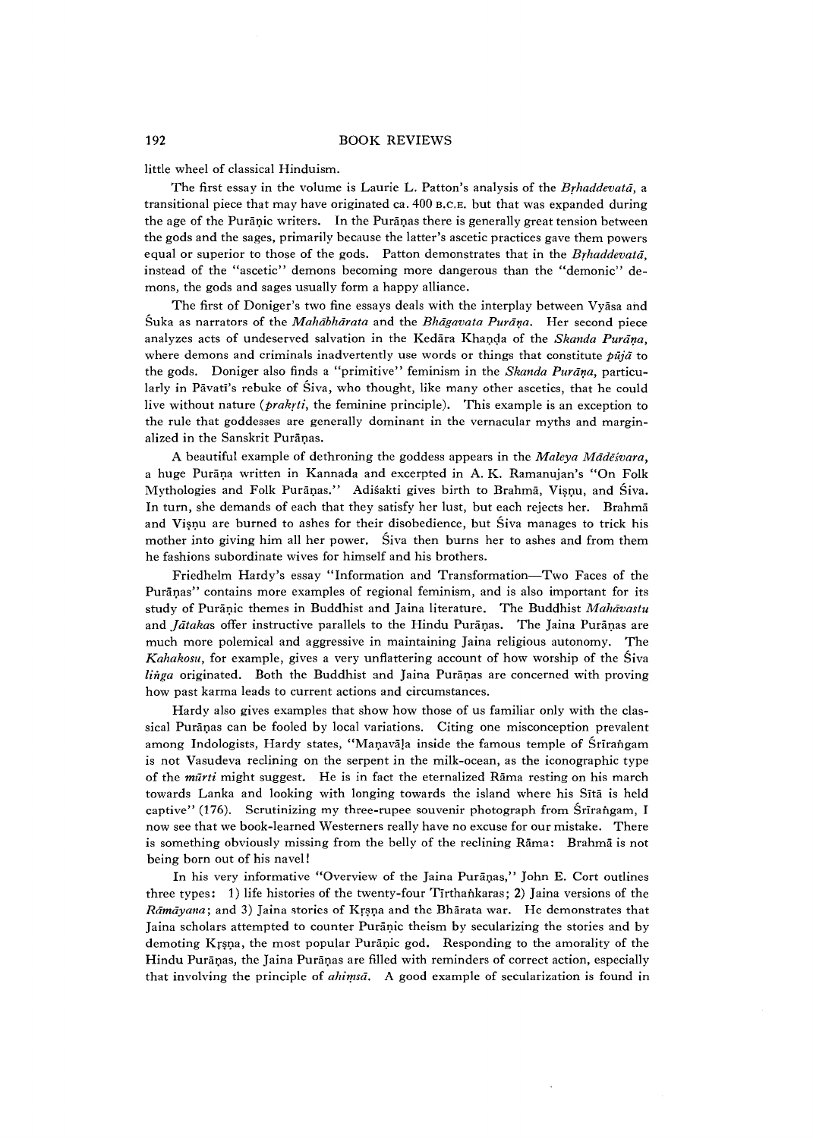little wheel of classical Hinduism.

The first essay in the volume is Laurie L. Patton's analysis of the *Brhaddevata,* a transitional piece that may have originated ca.  $400$  B.C.E. but that was expanded during the age of the Puranic writers. In the Puranas there is generally great tension between the gods and the sages, primarily because the latter's ascetic practices gave them powers equal or superior to those of the gods. Patton demonstrates that in the *Brhaddevata,* instead of the "ascetic" demons becoming more dangerous than the "demonic" demons, the gods and sages usually form a happy alliance.

The first of Doniger's two fine essays deals with the interplay between Vyasa and Suka as narrators of the *Mahabharata* and the *Bhdgavata Purana.* Her second piece analyzes acts of undeserved salvation in the Kedara Khanda of the *Skanda Purana,* where demons and criminals inadvertently use words or things that constitute *puja* to the gods. Doniger also finds a "primitive" feminism in the *Skanda Purana,* particularly in Pāvatī's rebuke of Siva, who thought, like many other ascetics, that he could live without nature *(prakrtt,* the feminine principle). This example is an exception to the rule that goddesses are generally dominant in the vernacular myths and marginalized in the Sanskrit Puranas.

A beautiful example of dethroning the goddess appears in the *Maleya Mādēśvara*, a huge Purana written in Kannada and excerpted in A. K. Ramanujan's " On Folk Mythologies and Folk Purapas." Adisakti gives birth to Brahma, Visnu, and Siva. In turn, she demands of each that they satisfy her lust, but each rejects her. Brahma and Visnu are burned to ashes for their disobedience, but Siva manages to trick his mother into giving him all her power. Siva then burns her to ashes and from them he fashions subordinate wives for himself and his brothers.

Friedhelm Hardy's essay " Information and Transformation— Two Faces of the Puranas'' contains more examples of regional feminism, and is also important for its study of Puranic themes in Buddhist and Jaina literature. The Buddhist *Mahavastu* and *Jātaka*s offer instructive parallels to the Hindu Puranas. The Jaina Puranas are much more polemical and aggressive in maintaining Jaina religious autonomy. The *Kahakosu,* for example, gives a very unflattering account of how worship of the Siva *linga* originated. Both the Buddhist and Jaina Puranas are concerned with proving how past karma leads to current actions and circumstances.

Hardy also gives examples that show how those of us familiar only with the classical Puranas can be fooled by local variations. Citing one misconception prevalent among Indologists, Hardy states, "Manavala inside the famous temple of Srirangam is not Vasudeva reclining on the serpent in the milk-ocean, as the iconographic type of the *murti* might suggest. He is in fact the eternalized Rama resting on his march towards Lanka and looking with longing towards the island where his Slta is held captive" (176). Scrutinizing my three-rupee souvenir photograph from Śrīrangam, I now see that we book-learned Westerners really have no excuse for our mistake. There is something obviously missing from the belly of the reclining Rama: Brahma is not being born out of his navel!

In his very informative "Overview of the Jaina Puranas," John E. Cort outlines three types: 1) life histories of the twenty-four Tirthankaras; 2) Jaina versions of the *Ramayana*; and 3) Jaina stories of Krsna and the Bharata war. He demonstrates that Jaina scholars attempted to counter Puranic theism by secularizing the stories and by demoting Krsna, the most popular Puranic god. Responding to the amorality of the Hindu Purānas, the Jaina Purānas are filled with reminders of correct action, especially that involving the principle of *ahimsa.* A good example of secularization is found in